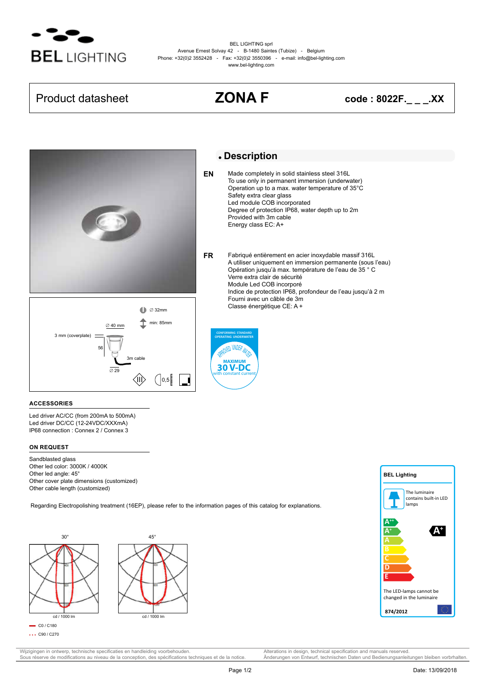

BEL LIGHTING sprl Avenue Ernest Solvay 42 - B-1480 Saintes (Tubize) - Belgium Phone: +32(0)2 3552428 - Fax: +32(0)2 3550396 - e-mail: info@bel-lighting.com www.bel-lighting.com

## Product datasheet **ZONA F code : 8022F.\_ \_ \_.XX**





## **Description**

Made completely in solid stainless steel 316L To use only in permanent immersion (underwater) Operation up to a max. water temperature of 35°C Safety extra clear glass Led module COB incorporated Degree of protection IP68, water depth up to 2m Provided with 3m cable Energy class EC: A+ **EN**

Fabriqué entièrement en acier inoxydable massif 316L A utiliser uniquement en immersion permanente (sous l'eau) Opération jusqu'à max. température de l'eau de 35 ° C Verre extra clair de sécurité Module Led COB incorporé Indice de protection IP68, profondeur de l'eau jusqu'à 2 m Fourni avec un câble de 3m Classe énergétique CE: A + **FR**



### **ACCESSORIES**

Led driver AC/CC (from 200mA to 500mA) Led driver DC/CC (12-24VDC/XXXmA) IP68 connection : Connex 2 / Connex 3

### **ON REQUEST**

Sandblasted glass Other led color: 3000K / 4000K Other led angle: 45° Other cover plate dimensions (customized) Other cable length (customized)

Regarding Electropolishing treatment (16EP), please refer to the information pages of this catalog for explanations.





Wijzigingen in ontwerp, technische specificaties en handleiding voorbehouden. Alterations in design, technical specification and manuals reserved.<br>
Sous réserve de modifications au niveau de la conception, des spécificatio Sous réserve de modifications au niveau de la conception, des spécifications techniques et de la notice.